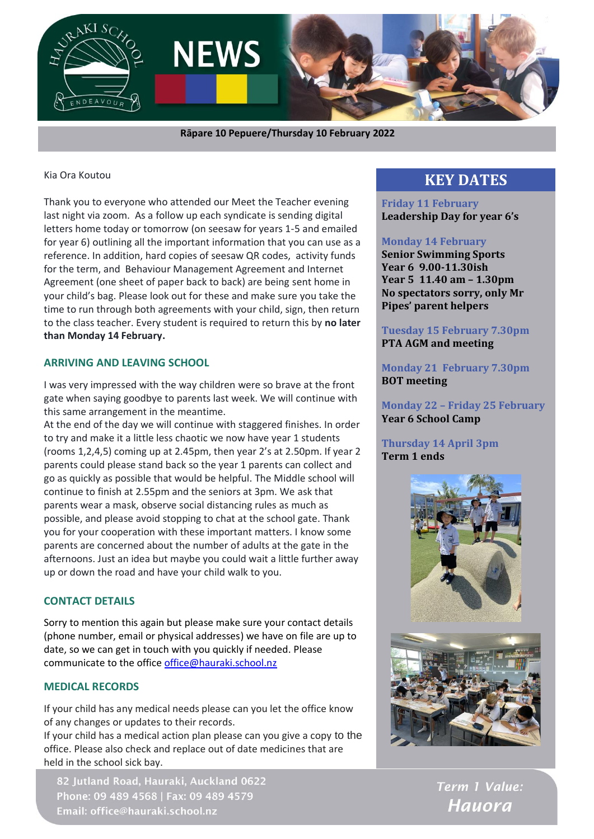

 **Rāpare 10 Pepuere/Thursday 10 February 2022**

#### Kia Ora Koutou

Thank you to everyone who attended our Meet the Teacher evening last night via zoom. As a follow up each syndicate is sending digital letters home today or tomorrow (on seesaw for years 1-5 and emailed for year 6) outlining all the important information that you can use as a reference. In addition, hard copies of seesaw QR codes, activity funds for the term, and Behaviour Management Agreement and Internet Agreement (one sheet of paper back to back) are being sent home in your child's bag. Please look out for these and make sure you take the time to run through both agreements with your child, sign, then return to the class teacher. Every student is required to return this by **no later than Monday 14 February.**

### **ARRIVING AND LEAVING SCHOOL**

I was very impressed with the way children were so brave at the front gate when saying goodbye to parents last week. We will continue with this same arrangement in the meantime.

At the end of the day we will continue with staggered finishes. In order to try and make it a little less chaotic we now have year 1 students (rooms 1,2,4,5) coming up at 2.45pm, then year 2's at 2.50pm. If year 2 parents could please stand back so the year 1 parents can collect and go as quickly as possible that would be helpful. The Middle school will continue to finish at 2.55pm and the seniors at 3pm. We ask that parents wear a mask, observe social distancing rules as much as possible, and please avoid stopping to chat at the school gate. Thank you for your cooperation with these important matters. I know some parents are concerned about the number of adults at the gate in the afternoons. Just an idea but maybe you could wait a little further away up or down the road and have your child walk to you.

### **CONTACT DETAILS**

Sorry to mention this again but please make sure your contact details (phone number, email or physical addresses) we have on file are up to date, so we can get in touch with you quickly if needed. Please communicate to the offic[e office@hauraki.school.nz](mailto:office@hauraki.school.nz)

### **MEDICAL RECORDS**

If your child has any medical needs please can you let the office know of any changes or updates to their records.

If your child has a medical action plan please can you give a copy to the office. Please also check and replace out of date medicines that are held in the school sick bay.

82 Jutland Road, Hauraki, Auckland 0622 Phone: 09 489 4568 | Fax: 09 489 4579 Email: office@hauraki.school.nz

# **KEY DATES**

**Friday 11 February Leadership Day for year 6's**

### **Monday 14 February**

**Senior Swimming Sports Year 6 9.00-11.30ish Year 5 11.40 am – 1.30pm No spectators sorry, only Mr Pipes' parent helpers**

**Tuesday 15 February 7.30pm PTA AGM and meeting**

**Monday 21 February 7.30pm BOT meeting**

**Monday 22 – Friday 25 February Year 6 School Camp**

### **Thursday 14 April 3pm Term 1 ends**





Term 1 Value: **Hauora**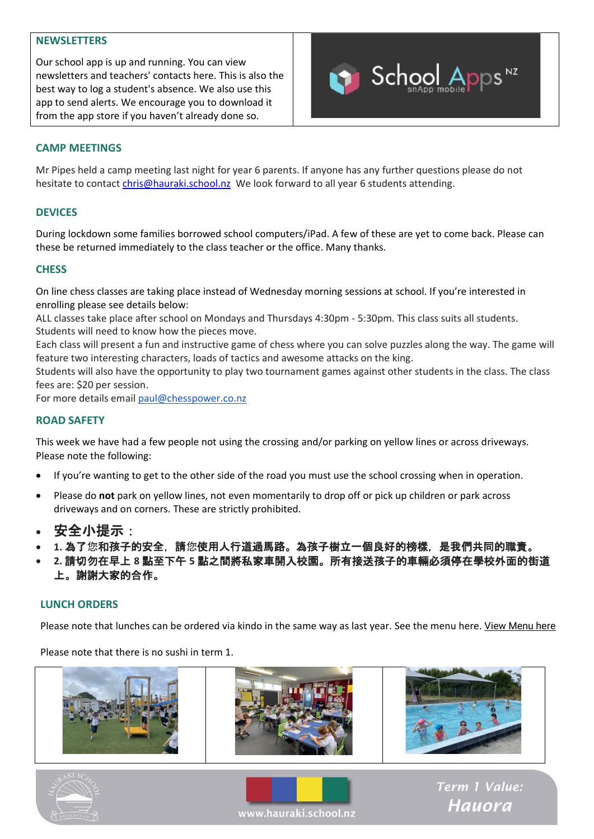### **NEWSLETTERS**

Our school app is up and running. You can view newsletters and teachers' contacts here. This is also the best way to log a student's absence. We also use this app to send alerts. We encourage you to download it from the app store if you haven't already done so.



### **CAMP MEETINGS**

Mr Pipes held a camp meeting last night for year 6 parents. If anyone has any further questions please do not hesitate to contac[t chris@hauraki.school.nz](mailto:chris@hauraki.school.nz) We look forward to all year 6 students attending.

### **DEVICES**

During lockdown some families borrowed school computers/iPad. A few of these are yet to come back. Please can these be returned immediately to the class teacher or the office. Many thanks.

### **CHESS**

On line chess classes are taking place instead of Wednesday morning sessions at school. If you're interested in enrolling please see details below:

ALL classes take place after school on Mondays and Thursdays 4:30pm - 5:30pm. This class suits all students. Students will need to know how the pieces move.

Each class will present a fun and instructive game of chess where you can solve puzzles along the way. The game will feature two interesting characters, loads of tactics and awesome attacks on the king.

Students will also have the opportunity to play two tournament games against other students in the class. The class fees are: \$20 per session.

For more details emai[l paul@chesspower.co.nz](mailto:paul@chesspower.co.nz)

### **ROAD SAFETY**

This week we have had a few people not using the crossing and/or parking on yellow lines or across driveways. Please note the following:

- If you're wanting to get to the other side of the road you must use the school crossing when in operation.
- Please do **not** park on yellow lines, not even momentarily to drop off or pick up children or park across driveways and on corners. These are strictly prohibited.
- 安全小提示:
- **1.** 為了您和孩子的安全,請您使用人行道過馬路。為孩子樹立一個良好的榜樣,是我們共同的職責。
- **2.** 請切勿在早上 **8** 點至下午 **5** 點之間將私家車開入校園。所有接送孩子的車輛必須停在學校外面的街道 上。謝謝大家的合作。

#### **LUNCH ORDERS**

Please note that lunches can be ordered via kindo in the same way as last year. See the menu here. [View Menu here](https://sender2.zohoinsights-crm.com/ck/2d6f.327230a/60739a30-82f5-11ec-96c4-525400d6cd4f/ebe09219c6522e3f3da8ae95ea04797af9173e6e/2?e=o572ItoKiHEZtvO4XuqiIPT9eEJz5Of7cfHDiPiTUBNJBmDE%2FQhQUMoidrXzN8ACuRsHpeYbxQzWC3R0T1v3Gw%3D%3D)

Please note that there is no sushi in term 1.







Term 1 Value: **Hauora**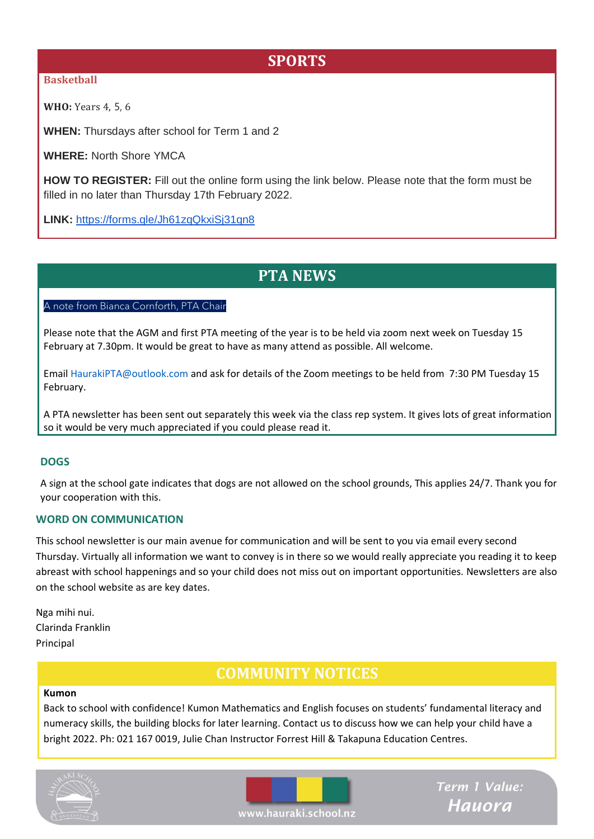# **SPORTS**

### **Basketball**

**WHO:** Years 4, 5, 6

**WHEN:** Thursdays after school for Term 1 and 2

**WHERE:** North Shore YMCA

**HOW TO REGISTER:** Fill out the online form using the link below. Please note that the form must be filled in no later than Thursday 17th February 2022.

**LINK:** <https://forms.gle/Jh61zqQkxiSj31qn8>

### **PTA NEWS**

### A note from Bianca Cornforth, PTA Chair

Please note that the AGM and first PTA meeting of the year is to be held via zoom next week on Tuesday 15 February at 7.30pm. It would be great to have as many attend as possible. All welcome.

Email HaurakiPTA@outlook.com and ask for details of the Zoom meetings to be held from 7:30 PM Tuesday 15 February.

A PTA newsletter has been sent out separately this week via the class rep system. It gives lots of great information so it would be very much appreciated if you could please read it.

### **DOGS**

A sign at the school gate indicates that dogs are not allowed on the school grounds, This applies 24/7. Thank you for your cooperation with this.

### **WORD ON COMMUNICATION**

This school newsletter is our main avenue for communication and will be sent to you via email every second Thursday. Virtually all information we want to convey is in there so we would really appreciate you reading it to keep abreast with school happenings and so your child does not miss out on important opportunities. Newsletters are also on the school website as are key dates.

Nga mihi nui. Clarinda Franklin Principal

# **COMMUNITY NOTICES**

#### **Kumon**

Back to school with confidence! Kumon Mathematics and English focuses on students' fundamental literacy and numeracy skills, the building blocks for later learning. Contact us to discuss how we can help your child have a bright 2022. Ph: 021 167 0019, Julie Chan Instructor Forrest Hill & Takapuna Education Centres.





Term 1 Value: **Hauora** 

www.hauraki.school.nz